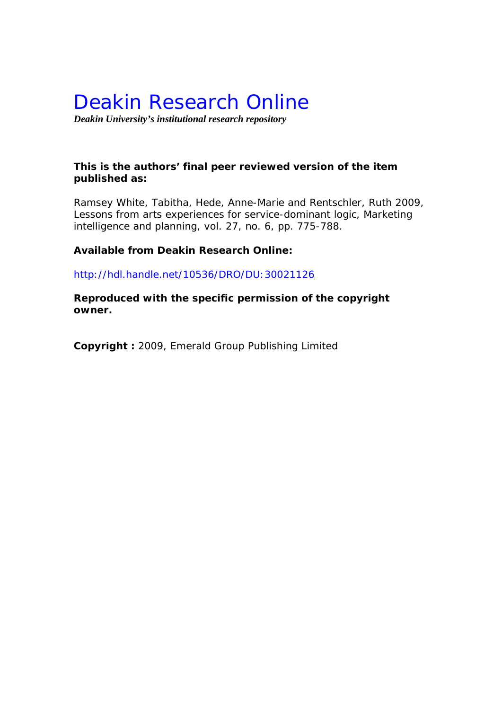# Deakin Research Online

*Deakin University's institutional research repository* 

# **This is the authors' final peer reviewed version of the item published as:**

Ramsey White, Tabitha, Hede, Anne-Marie and Rentschler, Ruth 2009, Lessons from arts experiences for service-dominant logic*, Marketing intelligence and planning*, vol. 27, no. 6, pp. 775-788.

# **Available from Deakin Research Online:**

http://hdl.handle.net/10536/DRO/DU:30021126

**Reproduced with the specific permission of the copyright owner.** 

**Copyright :** 2009, Emerald Group Publishing Limited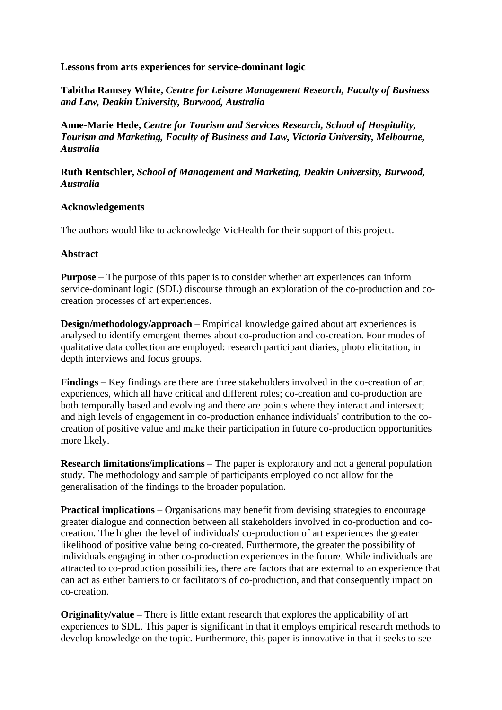### **Lessons from arts experiences for service-dominant logic**

**Tabitha Ramsey White,** *Centre for Leisure Management Research, Faculty of Business and Law, Deakin University, Burwood, Australia*

**Anne-Marie Hede,** *Centre for Tourism and Services Research, School of Hospitality, Tourism and Marketing, Faculty of Business and Law, Victoria University, Melbourne, Australia*

**Ruth Rentschler,** *School of Management and Marketing, Deakin University, Burwood, Australia*

#### **Acknowledgements**

The authors would like to acknowledge VicHealth for their support of this project.

#### **Abstract**

**Purpose** – The purpose of this paper is to consider whether art experiences can inform service-dominant logic (SDL) discourse through an exploration of the co-production and cocreation processes of art experiences.

**Design/methodology/approach** – Empirical knowledge gained about art experiences is analysed to identify emergent themes about co-production and co-creation. Four modes of qualitative data collection are employed: research participant diaries, photo elicitation, in depth interviews and focus groups.

**Findings** – Key findings are there are three stakeholders involved in the co-creation of art experiences, which all have critical and different roles; co-creation and co-production are both temporally based and evolving and there are points where they interact and intersect; and high levels of engagement in co-production enhance individuals' contribution to the cocreation of positive value and make their participation in future co-production opportunities more likely.

**Research limitations/implications** – The paper is exploratory and not a general population study. The methodology and sample of participants employed do not allow for the generalisation of the findings to the broader population.

**Practical implications** – Organisations may benefit from devising strategies to encourage greater dialogue and connection between all stakeholders involved in co-production and cocreation. The higher the level of individuals' co-production of art experiences the greater likelihood of positive value being co-created. Furthermore, the greater the possibility of individuals engaging in other co-production experiences in the future. While individuals are attracted to co-production possibilities, there are factors that are external to an experience that can act as either barriers to or facilitators of co-production, and that consequently impact on co-creation.

**Originality/value** – There is little extant research that explores the applicability of art experiences to SDL. This paper is significant in that it employs empirical research methods to develop knowledge on the topic. Furthermore, this paper is innovative in that it seeks to see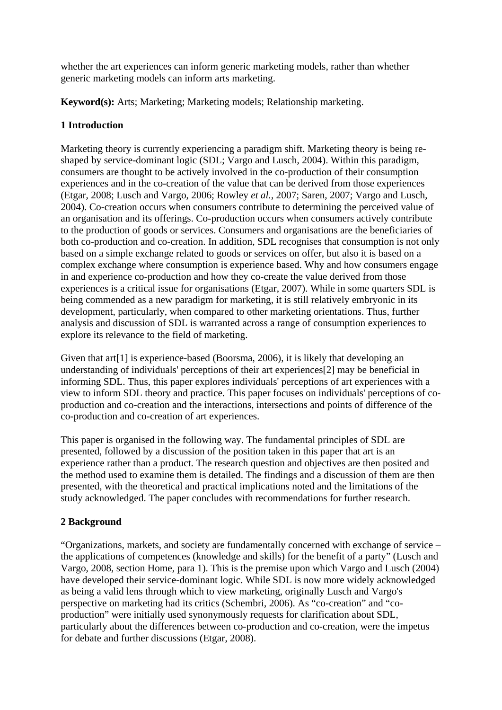whether the art experiences can inform generic marketing models, rather than whether generic marketing models can inform arts marketing.

**Keyword(s):** Arts; Marketing; Marketing models; Relationship marketing.

# **1 Introduction**

Marketing theory is currently experiencing a paradigm shift. Marketing theory is being reshaped by service-dominant logic (SDL; Vargo and Lusch, 2004). Within this paradigm, consumers are thought to be actively involved in the co-production of their consumption experiences and in the co-creation of the value that can be derived from those experiences (Etgar, 2008; Lusch and Vargo, 2006; Rowley *et al.*, 2007; Saren, 2007; Vargo and Lusch, 2004). Co-creation occurs when consumers contribute to determining the perceived value of an organisation and its offerings. Co-production occurs when consumers actively contribute to the production of goods or services. Consumers and organisations are the beneficiaries of both co-production and co-creation. In addition, SDL recognises that consumption is not only based on a simple exchange related to goods or services on offer, but also it is based on a complex exchange where consumption is experience based. Why and how consumers engage in and experience co-production and how they co-create the value derived from those experiences is a critical issue for organisations (Etgar, 2007). While in some quarters SDL is being commended as a new paradigm for marketing, it is still relatively embryonic in its development, particularly, when compared to other marketing orientations. Thus, further analysis and discussion of SDL is warranted across a range of consumption experiences to explore its relevance to the field of marketing.

Given that art[1] is experience-based (Boorsma, 2006), it is likely that developing an understanding of individuals' perceptions of their art experiences[2] may be beneficial in informing SDL. Thus, this paper explores individuals' perceptions of art experiences with a view to inform SDL theory and practice. This paper focuses on individuals' perceptions of coproduction and co-creation and the interactions, intersections and points of difference of the co-production and co-creation of art experiences.

This paper is organised in the following way. The fundamental principles of SDL are presented, followed by a discussion of the position taken in this paper that art is an experience rather than a product. The research question and objectives are then posited and the method used to examine them is detailed. The findings and a discussion of them are then presented, with the theoretical and practical implications noted and the limitations of the study acknowledged. The paper concludes with recommendations for further research.

# **2 Background**

"Organizations, markets, and society are fundamentally concerned with exchange of service – the applications of competences (knowledge and skills) for the benefit of a party" (Lusch and Vargo, 2008, section Home, para 1). This is the premise upon which Vargo and Lusch (2004) have developed their service-dominant logic. While SDL is now more widely acknowledged as being a valid lens through which to view marketing, originally Lusch and Vargo's perspective on marketing had its critics (Schembri, 2006). As "co-creation" and "coproduction" were initially used synonymously requests for clarification about SDL, particularly about the differences between co-production and co-creation, were the impetus for debate and further discussions (Etgar, 2008).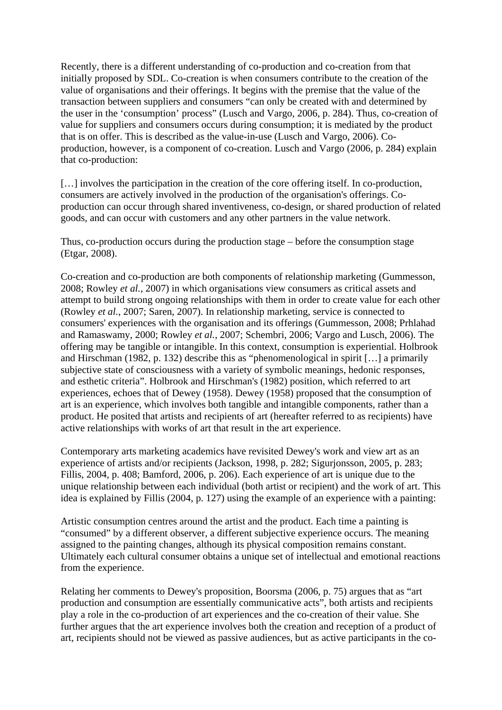Recently, there is a different understanding of co-production and co-creation from that initially proposed by SDL. Co-creation is when consumers contribute to the creation of the value of organisations and their offerings. It begins with the premise that the value of the transaction between suppliers and consumers "can only be created with and determined by the user in the 'consumption' process" (Lusch and Vargo, 2006, p. 284). Thus, co-creation of value for suppliers and consumers occurs during consumption; it is mediated by the product that is on offer. This is described as the value-in-use (Lusch and Vargo, 2006). Coproduction, however, is a component of co-creation. Lusch and Vargo (2006, p. 284) explain that co-production:

[...] involves the participation in the creation of the core offering itself. In co-production, consumers are actively involved in the production of the organisation's offerings. Coproduction can occur through shared inventiveness, co-design, or shared production of related goods, and can occur with customers and any other partners in the value network.

Thus, co-production occurs during the production stage – before the consumption stage (Etgar, 2008).

Co-creation and co-production are both components of relationship marketing (Gummesson, 2008; Rowley *et al.*, 2007) in which organisations view consumers as critical assets and attempt to build strong ongoing relationships with them in order to create value for each other (Rowley *et al.*, 2007; Saren, 2007). In relationship marketing, service is connected to consumers' experiences with the organisation and its offerings (Gummesson, 2008; Prhlahad and Ramaswamy, 2000; Rowley *et al.*, 2007; Schembri, 2006; Vargo and Lusch, 2006). The offering may be tangible or intangible. In this context, consumption is experiential. Holbrook and Hirschman (1982, p. 132) describe this as "phenomenological in spirit […] a primarily subjective state of consciousness with a variety of symbolic meanings, hedonic responses, and esthetic criteria". Holbrook and Hirschman's (1982) position, which referred to art experiences, echoes that of Dewey (1958). Dewey (1958) proposed that the consumption of art is an experience, which involves both tangible and intangible components, rather than a product. He posited that artists and recipients of art (hereafter referred to as recipients) have active relationships with works of art that result in the art experience.

Contemporary arts marketing academics have revisited Dewey's work and view art as an experience of artists and/or recipients (Jackson, 1998, p. 282; Sigurjonsson, 2005, p. 283; Fillis, 2004, p. 408; Bamford, 2006, p. 206). Each experience of art is unique due to the unique relationship between each individual (both artist or recipient) and the work of art. This idea is explained by Fillis (2004, p. 127) using the example of an experience with a painting:

Artistic consumption centres around the artist and the product. Each time a painting is "consumed" by a different observer, a different subjective experience occurs. The meaning assigned to the painting changes, although its physical composition remains constant. Ultimately each cultural consumer obtains a unique set of intellectual and emotional reactions from the experience.

Relating her comments to Dewey's proposition, Boorsma (2006, p. 75) argues that as "art production and consumption are essentially communicative acts", both artists and recipients play a role in the co-production of art experiences and the co-creation of their value. She further argues that the art experience involves both the creation and reception of a product of art, recipients should not be viewed as passive audiences, but as active participants in the co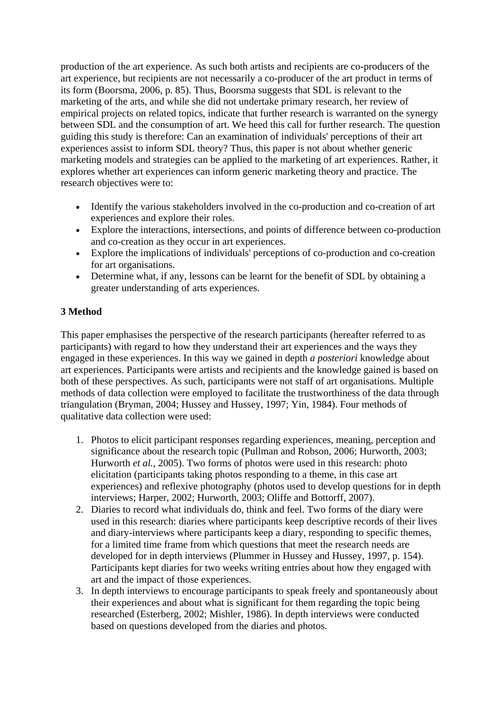production of the art experience. As such both artists and recipients are co-producers of the art experience, but recipients are not necessarily a co-producer of the art product in terms of its form (Boorsma, 2006, p. 85). Thus, Boorsma suggests that SDL is relevant to the marketing of the arts, and while she did not undertake primary research, her review of empirical projects on related topics, indicate that further research is warranted on the synergy between SDL and the consumption of art. We heed this call for further research. The question guiding this study is therefore: Can an examination of individuals' perceptions of their art experiences assist to inform SDL theory? Thus, this paper is not about whether generic marketing models and strategies can be applied to the marketing of art experiences. Rather, it explores whether art experiences can inform generic marketing theory and practice. The research objectives were to:

- Identify the various stakeholders involved in the co-production and co-creation of art experiences and explore their roles.
- Explore the interactions, intersections, and points of difference between co-production and co-creation as they occur in art experiences.
- Explore the implications of individuals' perceptions of co-production and co-creation for art organisations.
- Determine what, if any, lessons can be learnt for the benefit of SDL by obtaining a greater understanding of arts experiences.

# **3 Method**

This paper emphasises the perspective of the research participants (hereafter referred to as participants) with regard to how they understand their art experiences and the ways they engaged in these experiences. In this way we gained in depth *a posteriori* knowledge about art experiences. Participants were artists and recipients and the knowledge gained is based on both of these perspectives. As such, participants were not staff of art organisations. Multiple methods of data collection were employed to facilitate the trustworthiness of the data through triangulation (Bryman, 2004; Hussey and Hussey, 1997; Yin, 1984). Four methods of qualitative data collection were used:

- 1. Photos to elicit participant responses regarding experiences, meaning, perception and significance about the research topic (Pullman and Robson, 2006; Hurworth, 2003; Hurworth *et al.*, 2005). Two forms of photos were used in this research: photo elicitation (participants taking photos responding to a theme, in this case art experiences) and reflexive photography (photos used to develop questions for in depth interviews; Harper, 2002; Hurworth, 2003; Oliffe and Bottorff, 2007).
- 2. Diaries to record what individuals do, think and feel. Two forms of the diary were used in this research: diaries where participants keep descriptive records of their lives and diary-interviews where participants keep a diary, responding to specific themes, for a limited time frame from which questions that meet the research needs are developed for in depth interviews (Plummer in Hussey and Hussey, 1997, p. 154). Participants kept diaries for two weeks writing entries about how they engaged with art and the impact of those experiences.
- 3. In depth interviews to encourage participants to speak freely and spontaneously about their experiences and about what is significant for them regarding the topic being researched (Esterberg, 2002; Mishler, 1986). In depth interviews were conducted based on questions developed from the diaries and photos.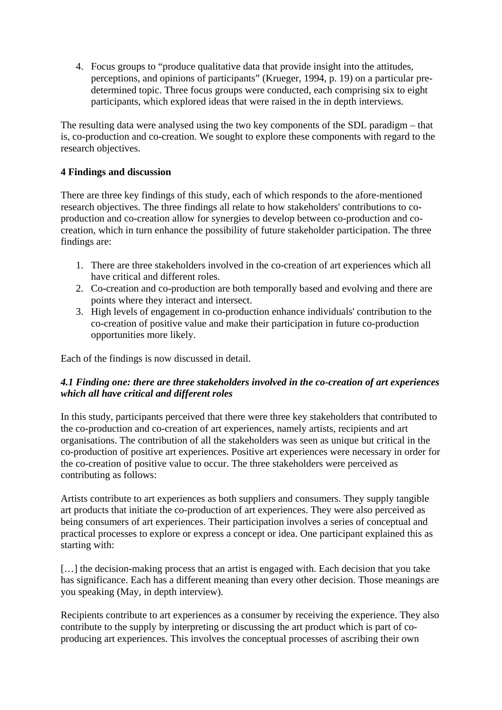4. Focus groups to "produce qualitative data that provide insight into the attitudes, perceptions, and opinions of participants" (Krueger, 1994, p. 19) on a particular predetermined topic. Three focus groups were conducted, each comprising six to eight participants, which explored ideas that were raised in the in depth interviews.

The resulting data were analysed using the two key components of the SDL paradigm – that is, co-production and co-creation. We sought to explore these components with regard to the research objectives.

## **4 Findings and discussion**

There are three key findings of this study, each of which responds to the afore-mentioned research objectives. The three findings all relate to how stakeholders' contributions to coproduction and co-creation allow for synergies to develop between co-production and cocreation, which in turn enhance the possibility of future stakeholder participation. The three findings are:

- 1. There are three stakeholders involved in the co-creation of art experiences which all have critical and different roles.
- 2. Co-creation and co-production are both temporally based and evolving and there are points where they interact and intersect.
- 3. High levels of engagement in co-production enhance individuals' contribution to the co-creation of positive value and make their participation in future co-production opportunities more likely.

Each of the findings is now discussed in detail.

# *4.1 Finding one: there are three stakeholders involved in the co-creation of art experiences which all have critical and different roles*

In this study, participants perceived that there were three key stakeholders that contributed to the co-production and co-creation of art experiences, namely artists, recipients and art organisations. The contribution of all the stakeholders was seen as unique but critical in the co-production of positive art experiences. Positive art experiences were necessary in order for the co-creation of positive value to occur. The three stakeholders were perceived as contributing as follows:

Artists contribute to art experiences as both suppliers and consumers. They supply tangible art products that initiate the co-production of art experiences. They were also perceived as being consumers of art experiences. Their participation involves a series of conceptual and practical processes to explore or express a concept or idea. One participant explained this as starting with:

[...] the decision-making process that an artist is engaged with. Each decision that you take has significance. Each has a different meaning than every other decision. Those meanings are you speaking (May, in depth interview).

Recipients contribute to art experiences as a consumer by receiving the experience. They also contribute to the supply by interpreting or discussing the art product which is part of coproducing art experiences. This involves the conceptual processes of ascribing their own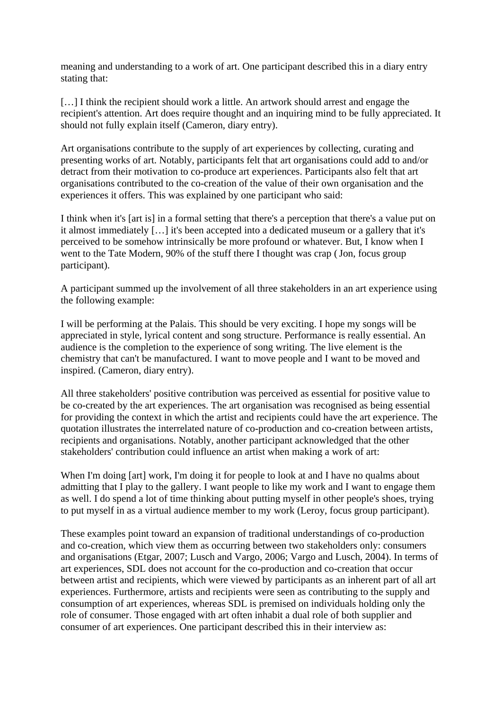meaning and understanding to a work of art. One participant described this in a diary entry stating that:

[...] I think the recipient should work a little. An artwork should arrest and engage the recipient's attention. Art does require thought and an inquiring mind to be fully appreciated. It should not fully explain itself (Cameron, diary entry).

Art organisations contribute to the supply of art experiences by collecting, curating and presenting works of art. Notably, participants felt that art organisations could add to and/or detract from their motivation to co-produce art experiences. Participants also felt that art organisations contributed to the co-creation of the value of their own organisation and the experiences it offers. This was explained by one participant who said:

I think when it's [art is] in a formal setting that there's a perception that there's a value put on it almost immediately […] it's been accepted into a dedicated museum or a gallery that it's perceived to be somehow intrinsically be more profound or whatever. But, I know when I went to the Tate Modern, 90% of the stuff there I thought was crap (Jon, focus group participant).

A participant summed up the involvement of all three stakeholders in an art experience using the following example:

I will be performing at the Palais. This should be very exciting. I hope my songs will be appreciated in style, lyrical content and song structure. Performance is really essential. An audience is the completion to the experience of song writing. The live element is the chemistry that can't be manufactured. I want to move people and I want to be moved and inspired. (Cameron, diary entry).

All three stakeholders' positive contribution was perceived as essential for positive value to be co-created by the art experiences. The art organisation was recognised as being essential for providing the context in which the artist and recipients could have the art experience. The quotation illustrates the interrelated nature of co-production and co-creation between artists, recipients and organisations. Notably, another participant acknowledged that the other stakeholders' contribution could influence an artist when making a work of art:

When I'm doing [art] work, I'm doing it for people to look at and I have no qualms about admitting that I play to the gallery. I want people to like my work and I want to engage them as well. I do spend a lot of time thinking about putting myself in other people's shoes, trying to put myself in as a virtual audience member to my work (Leroy, focus group participant).

These examples point toward an expansion of traditional understandings of co-production and co-creation, which view them as occurring between two stakeholders only: consumers and organisations (Etgar, 2007; Lusch and Vargo, 2006; Vargo and Lusch, 2004). In terms of art experiences, SDL does not account for the co-production and co-creation that occur between artist and recipients, which were viewed by participants as an inherent part of all art experiences. Furthermore, artists and recipients were seen as contributing to the supply and consumption of art experiences, whereas SDL is premised on individuals holding only the role of consumer. Those engaged with art often inhabit a dual role of both supplier and consumer of art experiences. One participant described this in their interview as: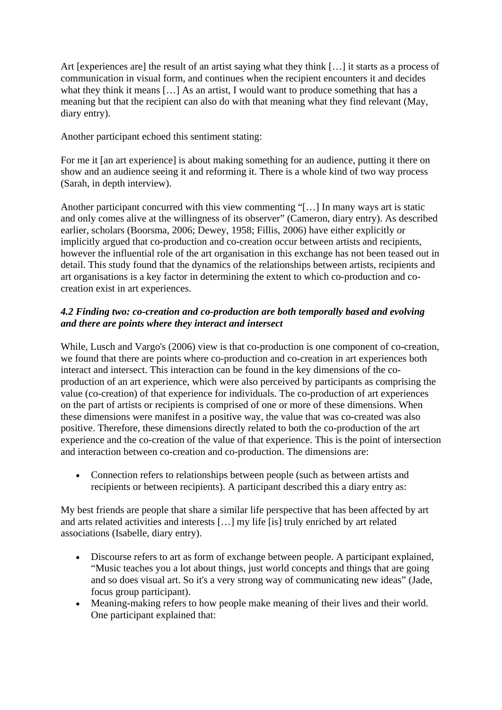Art [experiences are] the result of an artist saying what they think […] it starts as a process of communication in visual form, and continues when the recipient encounters it and decides what they think it means [...] As an artist, I would want to produce something that has a meaning but that the recipient can also do with that meaning what they find relevant (May, diary entry).

Another participant echoed this sentiment stating:

For me it [an art experience] is about making something for an audience, putting it there on show and an audience seeing it and reforming it. There is a whole kind of two way process (Sarah, in depth interview).

Another participant concurred with this view commenting "[…] In many ways art is static and only comes alive at the willingness of its observer" (Cameron, diary entry). As described earlier, scholars (Boorsma, 2006; Dewey, 1958; Fillis, 2006) have either explicitly or implicitly argued that co-production and co-creation occur between artists and recipients, however the influential role of the art organisation in this exchange has not been teased out in detail. This study found that the dynamics of the relationships between artists, recipients and art organisations is a key factor in determining the extent to which co-production and cocreation exist in art experiences.

# *4.2 Finding two: co-creation and co-production are both temporally based and evolving and there are points where they interact and intersect*

While, Lusch and Vargo's (2006) view is that co-production is one component of co-creation, we found that there are points where co-production and co-creation in art experiences both interact and intersect. This interaction can be found in the key dimensions of the coproduction of an art experience, which were also perceived by participants as comprising the value (co-creation) of that experience for individuals. The co-production of art experiences on the part of artists or recipients is comprised of one or more of these dimensions. When these dimensions were manifest in a positive way, the value that was co-created was also positive. Therefore, these dimensions directly related to both the co-production of the art experience and the co-creation of the value of that experience. This is the point of intersection and interaction between co-creation and co-production. The dimensions are:

• Connection refers to relationships between people (such as between artists and recipients or between recipients). A participant described this a diary entry as:

My best friends are people that share a similar life perspective that has been affected by art and arts related activities and interests […] my life [is] truly enriched by art related associations (Isabelle, diary entry).

- Discourse refers to art as form of exchange between people. A participant explained, "Music teaches you a lot about things, just world concepts and things that are going and so does visual art. So it's a very strong way of communicating new ideas" (Jade, focus group participant).
- Meaning-making refers to how people make meaning of their lives and their world. One participant explained that: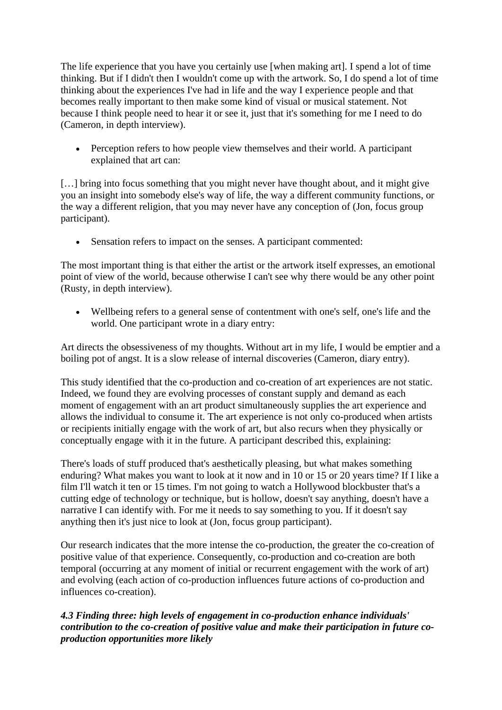The life experience that you have you certainly use [when making art]. I spend a lot of time thinking. But if I didn't then I wouldn't come up with the artwork. So, I do spend a lot of time thinking about the experiences I've had in life and the way I experience people and that becomes really important to then make some kind of visual or musical statement. Not because I think people need to hear it or see it, just that it's something for me I need to do (Cameron, in depth interview).

 Perception refers to how people view themselves and their world. A participant explained that art can:

[…] bring into focus something that you might never have thought about, and it might give you an insight into somebody else's way of life, the way a different community functions, or the way a different religion, that you may never have any conception of (Jon, focus group participant).

Sensation refers to impact on the senses. A participant commented:

The most important thing is that either the artist or the artwork itself expresses, an emotional point of view of the world, because otherwise I can't see why there would be any other point (Rusty, in depth interview).

 Wellbeing refers to a general sense of contentment with one's self, one's life and the world. One participant wrote in a diary entry:

Art directs the obsessiveness of my thoughts. Without art in my life, I would be emptier and a boiling pot of angst. It is a slow release of internal discoveries (Cameron, diary entry).

This study identified that the co-production and co-creation of art experiences are not static. Indeed, we found they are evolving processes of constant supply and demand as each moment of engagement with an art product simultaneously supplies the art experience and allows the individual to consume it. The art experience is not only co-produced when artists or recipients initially engage with the work of art, but also recurs when they physically or conceptually engage with it in the future. A participant described this, explaining:

There's loads of stuff produced that's aesthetically pleasing, but what makes something enduring? What makes you want to look at it now and in 10 or 15 or 20 years time? If I like a film I'll watch it ten or 15 times. I'm not going to watch a Hollywood blockbuster that's a cutting edge of technology or technique, but is hollow, doesn't say anything, doesn't have a narrative I can identify with. For me it needs to say something to you. If it doesn't say anything then it's just nice to look at (Jon, focus group participant).

Our research indicates that the more intense the co-production, the greater the co-creation of positive value of that experience. Consequently, co-production and co-creation are both temporal (occurring at any moment of initial or recurrent engagement with the work of art) and evolving (each action of co-production influences future actions of co-production and influences co-creation).

# *4.3 Finding three: high levels of engagement in co-production enhance individuals' contribution to the co-creation of positive value and make their participation in future coproduction opportunities more likely*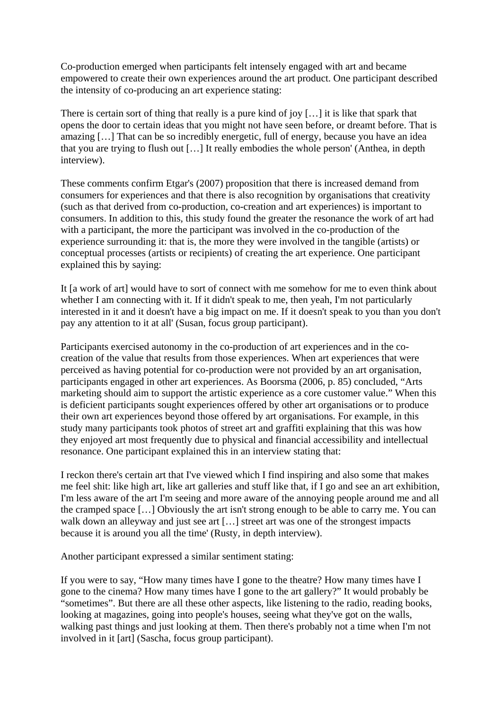Co-production emerged when participants felt intensely engaged with art and became empowered to create their own experiences around the art product. One participant described the intensity of co-producing an art experience stating:

There is certain sort of thing that really is a pure kind of joy […] it is like that spark that opens the door to certain ideas that you might not have seen before, or dreamt before. That is amazing […] That can be so incredibly energetic, full of energy, because you have an idea that you are trying to flush out […] It really embodies the whole person' (Anthea, in depth interview).

These comments confirm Etgar's (2007) proposition that there is increased demand from consumers for experiences and that there is also recognition by organisations that creativity (such as that derived from co-production, co-creation and art experiences) is important to consumers. In addition to this, this study found the greater the resonance the work of art had with a participant, the more the participant was involved in the co-production of the experience surrounding it: that is, the more they were involved in the tangible (artists) or conceptual processes (artists or recipients) of creating the art experience. One participant explained this by saying:

It [a work of art] would have to sort of connect with me somehow for me to even think about whether I am connecting with it. If it didn't speak to me, then yeah, I'm not particularly interested in it and it doesn't have a big impact on me. If it doesn't speak to you than you don't pay any attention to it at all' (Susan, focus group participant).

Participants exercised autonomy in the co-production of art experiences and in the cocreation of the value that results from those experiences. When art experiences that were perceived as having potential for co-production were not provided by an art organisation, participants engaged in other art experiences. As Boorsma (2006, p. 85) concluded, "Arts marketing should aim to support the artistic experience as a core customer value." When this is deficient participants sought experiences offered by other art organisations or to produce their own art experiences beyond those offered by art organisations. For example, in this study many participants took photos of street art and graffiti explaining that this was how they enjoyed art most frequently due to physical and financial accessibility and intellectual resonance. One participant explained this in an interview stating that:

I reckon there's certain art that I've viewed which I find inspiring and also some that makes me feel shit: like high art, like art galleries and stuff like that, if I go and see an art exhibition, I'm less aware of the art I'm seeing and more aware of the annoying people around me and all the cramped space […] Obviously the art isn't strong enough to be able to carry me. You can walk down an alleyway and just see art […] street art was one of the strongest impacts because it is around you all the time' (Rusty, in depth interview).

Another participant expressed a similar sentiment stating:

If you were to say, "How many times have I gone to the theatre? How many times have I gone to the cinema? How many times have I gone to the art gallery?" It would probably be "sometimes". But there are all these other aspects, like listening to the radio, reading books, looking at magazines, going into people's houses, seeing what they've got on the walls, walking past things and just looking at them. Then there's probably not a time when I'm not involved in it [art] (Sascha, focus group participant).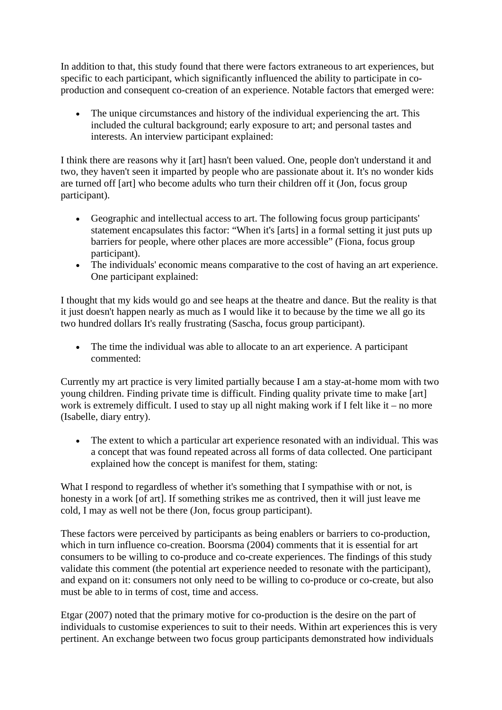In addition to that, this study found that there were factors extraneous to art experiences, but specific to each participant, which significantly influenced the ability to participate in coproduction and consequent co-creation of an experience. Notable factors that emerged were:

• The unique circumstances and history of the individual experiencing the art. This included the cultural background; early exposure to art; and personal tastes and interests. An interview participant explained:

I think there are reasons why it [art] hasn't been valued. One, people don't understand it and two, they haven't seen it imparted by people who are passionate about it. It's no wonder kids are turned off [art] who become adults who turn their children off it (Jon, focus group participant).

- Geographic and intellectual access to art. The following focus group participants' statement encapsulates this factor: "When it's [arts] in a formal setting it just puts up barriers for people, where other places are more accessible" (Fiona, focus group participant).
- The individuals' economic means comparative to the cost of having an art experience. One participant explained:

I thought that my kids would go and see heaps at the theatre and dance. But the reality is that it just doesn't happen nearly as much as I would like it to because by the time we all go its two hundred dollars It's really frustrating (Sascha, focus group participant).

 The time the individual was able to allocate to an art experience. A participant commented:

Currently my art practice is very limited partially because I am a stay-at-home mom with two young children. Finding private time is difficult. Finding quality private time to make [art] work is extremely difficult. I used to stay up all night making work if I felt like it – no more (Isabelle, diary entry).

 The extent to which a particular art experience resonated with an individual. This was a concept that was found repeated across all forms of data collected. One participant explained how the concept is manifest for them, stating:

What I respond to regardless of whether it's something that I sympathise with or not, is honesty in a work [of art]. If something strikes me as contrived, then it will just leave me cold, I may as well not be there (Jon, focus group participant).

These factors were perceived by participants as being enablers or barriers to co-production, which in turn influence co-creation. Boorsma (2004) comments that it is essential for art consumers to be willing to co-produce and co-create experiences. The findings of this study validate this comment (the potential art experience needed to resonate with the participant), and expand on it: consumers not only need to be willing to co-produce or co-create, but also must be able to in terms of cost, time and access.

Etgar (2007) noted that the primary motive for co-production is the desire on the part of individuals to customise experiences to suit to their needs. Within art experiences this is very pertinent. An exchange between two focus group participants demonstrated how individuals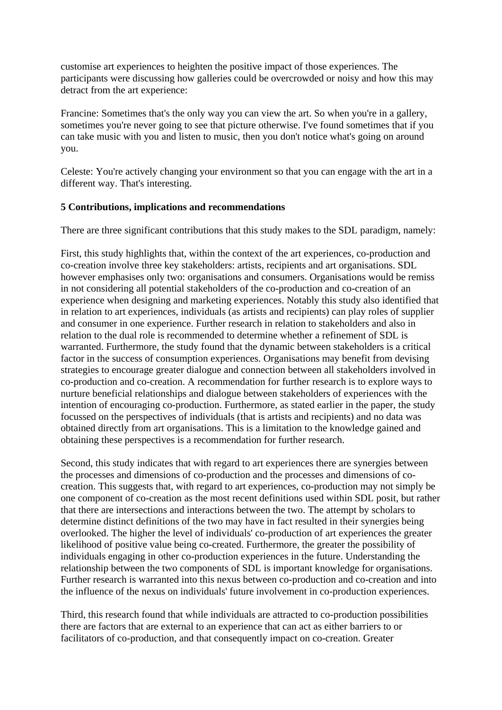customise art experiences to heighten the positive impact of those experiences. The participants were discussing how galleries could be overcrowded or noisy and how this may detract from the art experience:

Francine: Sometimes that's the only way you can view the art. So when you're in a gallery, sometimes you're never going to see that picture otherwise. I've found sometimes that if you can take music with you and listen to music, then you don't notice what's going on around you.

Celeste: You're actively changing your environment so that you can engage with the art in a different way. That's interesting.

#### **5 Contributions, implications and recommendations**

There are three significant contributions that this study makes to the SDL paradigm, namely:

First, this study highlights that, within the context of the art experiences, co-production and co-creation involve three key stakeholders: artists, recipients and art organisations. SDL however emphasises only two: organisations and consumers. Organisations would be remiss in not considering all potential stakeholders of the co-production and co-creation of an experience when designing and marketing experiences. Notably this study also identified that in relation to art experiences, individuals (as artists and recipients) can play roles of supplier and consumer in one experience. Further research in relation to stakeholders and also in relation to the dual role is recommended to determine whether a refinement of SDL is warranted. Furthermore, the study found that the dynamic between stakeholders is a critical factor in the success of consumption experiences. Organisations may benefit from devising strategies to encourage greater dialogue and connection between all stakeholders involved in co-production and co-creation. A recommendation for further research is to explore ways to nurture beneficial relationships and dialogue between stakeholders of experiences with the intention of encouraging co-production. Furthermore, as stated earlier in the paper, the study focussed on the perspectives of individuals (that is artists and recipients) and no data was obtained directly from art organisations. This is a limitation to the knowledge gained and obtaining these perspectives is a recommendation for further research.

Second, this study indicates that with regard to art experiences there are synergies between the processes and dimensions of co-production and the processes and dimensions of cocreation. This suggests that, with regard to art experiences, co-production may not simply be one component of co-creation as the most recent definitions used within SDL posit, but rather that there are intersections and interactions between the two. The attempt by scholars to determine distinct definitions of the two may have in fact resulted in their synergies being overlooked. The higher the level of individuals' co-production of art experiences the greater likelihood of positive value being co-created. Furthermore, the greater the possibility of individuals engaging in other co-production experiences in the future. Understanding the relationship between the two components of SDL is important knowledge for organisations. Further research is warranted into this nexus between co-production and co-creation and into the influence of the nexus on individuals' future involvement in co-production experiences.

Third, this research found that while individuals are attracted to co-production possibilities there are factors that are external to an experience that can act as either barriers to or facilitators of co-production, and that consequently impact on co-creation. Greater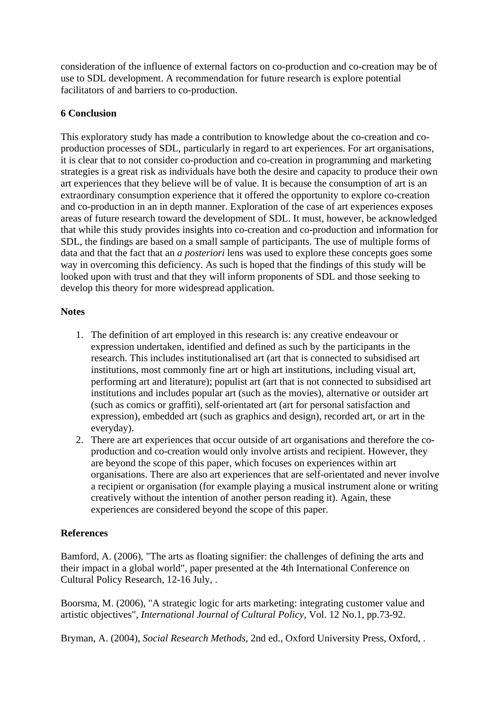consideration of the influence of external factors on co-production and co-creation may be of use to SDL development. A recommendation for future research is explore potential facilitators of and barriers to co-production.

## **6 Conclusion**

This exploratory study has made a contribution to knowledge about the co-creation and coproduction processes of SDL, particularly in regard to art experiences. For art organisations, it is clear that to not consider co-production and co-creation in programming and marketing strategies is a great risk as individuals have both the desire and capacity to produce their own art experiences that they believe will be of value. It is because the consumption of art is an extraordinary consumption experience that it offered the opportunity to explore co-creation and co-production in an in depth manner. Exploration of the case of art experiences exposes areas of future research toward the development of SDL. It must, however, be acknowledged that while this study provides insights into co-creation and co-production and information for SDL, the findings are based on a small sample of participants. The use of multiple forms of data and that the fact that an *a posteriori* lens was used to explore these concepts goes some way in overcoming this deficiency. As such is hoped that the findings of this study will be looked upon with trust and that they will inform proponents of SDL and those seeking to develop this theory for more widespread application.

## **Notes**

- 1. The definition of art employed in this research is: any creative endeavour or expression undertaken, identified and defined as such by the participants in the research. This includes institutionalised art (art that is connected to subsidised art institutions, most commonly fine art or high art institutions, including visual art, performing art and literature); populist art (art that is not connected to subsidised art institutions and includes popular art (such as the movies), alternative or outsider art (such as comics or graffiti), self-orientated art (art for personal satisfaction and expression), embedded art (such as graphics and design), recorded art, or art in the everyday).
- 2. There are art experiences that occur outside of art organisations and therefore the coproduction and co-creation would only involve artists and recipient. However, they are beyond the scope of this paper, which focuses on experiences within art organisations. There are also art experiences that are self-orientated and never involve a recipient or organisation (for example playing a musical instrument alone or writing creatively without the intention of another person reading it). Again, these experiences are considered beyond the scope of this paper.

## **References**

Bamford, A. (2006), "The arts as floating signifier: the challenges of defining the arts and their impact in a global world", paper presented at the 4th International Conference on Cultural Policy Research, 12-16 July, .

Boorsma, M. (2006), "A strategic logic for arts marketing: integrating customer value and artistic objectives", *International Journal of Cultural Policy*, Vol. 12 No.1, pp.73-92.

Bryman, A. (2004), *Social Research Methods*, 2nd ed., Oxford University Press, Oxford, .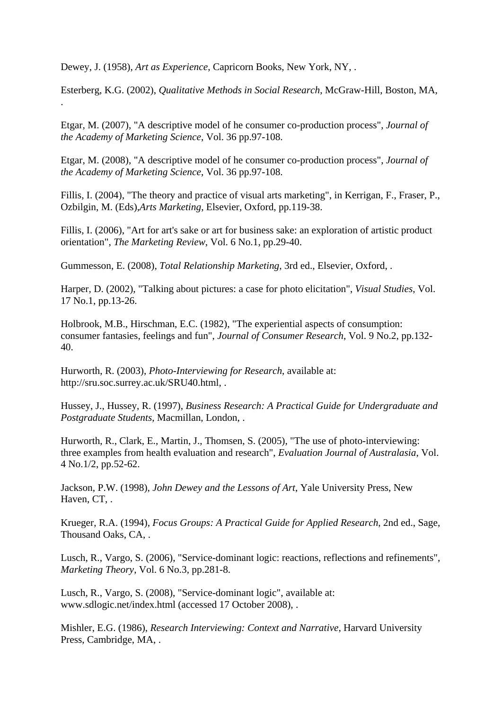Dewey, J. (1958), *Art as Experience*, Capricorn Books, New York, NY, .

.

Esterberg, K.G. (2002), *Qualitative Methods in Social Research*, McGraw-Hill, Boston, MA,

Etgar, M. (2007), "A descriptive model of he consumer co-production process", *Journal of the Academy of Marketing Science*, Vol. 36 pp.97-108.

Etgar, M. (2008), "A descriptive model of he consumer co-production process", *Journal of the Academy of Marketing Science*, Vol. 36 pp.97-108.

Fillis, I. (2004), "The theory and practice of visual arts marketing", in Kerrigan, F., Fraser, P., Ozbilgin, M. (Eds),*Arts Marketing*, Elsevier, Oxford, pp.119-38.

Fillis, I. (2006), "Art for art's sake or art for business sake: an exploration of artistic product orientation", *The Marketing Review*, Vol. 6 No.1, pp.29-40.

Gummesson, E. (2008), *Total Relationship Marketing*, 3rd ed., Elsevier, Oxford, .

Harper, D. (2002), "Talking about pictures: a case for photo elicitation", *Visual Studies*, Vol. 17 No.1, pp.13-26.

Holbrook, M.B., Hirschman, E.C. (1982), "The experiential aspects of consumption: consumer fantasies, feelings and fun", *Journal of Consumer Research*, Vol. 9 No.2, pp.132- 40.

Hurworth, R. (2003), *Photo-Interviewing for Research*, available at: http://sru.soc.surrey.ac.uk/SRU40.html, .

Hussey, J., Hussey, R. (1997), *Business Research: A Practical Guide for Undergraduate and Postgraduate Students*, Macmillan, London, .

Hurworth, R., Clark, E., Martin, J., Thomsen, S. (2005), "The use of photo-interviewing: three examples from health evaluation and research", *Evaluation Journal of Australasia*, Vol. 4 No.1/2, pp.52-62.

Jackson, P.W. (1998), *John Dewey and the Lessons of Art*, Yale University Press, New Haven, CT, .

Krueger, R.A. (1994), *Focus Groups: A Practical Guide for Applied Research*, 2nd ed., Sage, Thousand Oaks, CA, .

Lusch, R., Vargo, S. (2006), "Service-dominant logic: reactions, reflections and refinements", *Marketing Theory*, Vol. 6 No.3, pp.281-8.

Lusch, R., Vargo, S. (2008), "Service-dominant logic", available at: www.sdlogic.net/index.html (accessed 17 October 2008), .

Mishler, E.G. (1986), *Research Interviewing: Context and Narrative*, Harvard University Press, Cambridge, MA, .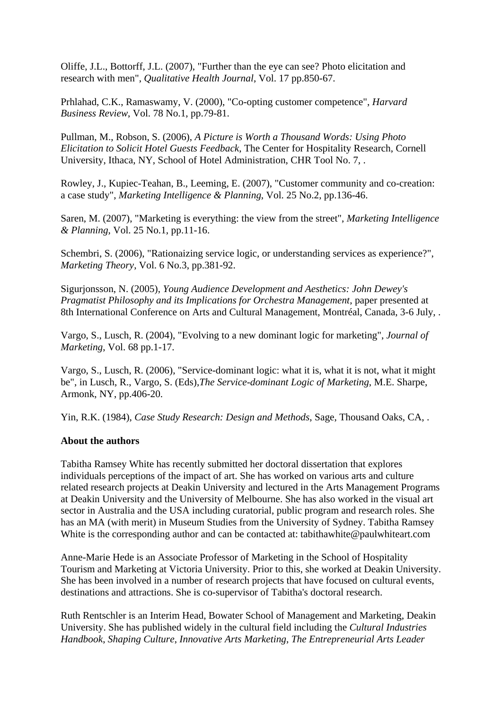Oliffe, J.L., Bottorff, J.L. (2007), "Further than the eye can see? Photo elicitation and research with men", *Qualitative Health Journal*, Vol. 17 pp.850-67.

Prhlahad, C.K., Ramaswamy, V. (2000), "Co-opting customer competence", *Harvard Business Review*, Vol. 78 No.1, pp.79-81.

Pullman, M., Robson, S. (2006), *A Picture is Worth a Thousand Words: Using Photo Elicitation to Solicit Hotel Guests Feedback*, The Center for Hospitality Research, Cornell University, Ithaca, NY, School of Hotel Administration, CHR Tool No. 7, .

Rowley, J., Kupiec-Teahan, B., Leeming, E. (2007), "Customer community and co-creation: a case study", *Marketing Intelligence & Planning*, Vol. 25 No.2, pp.136-46.

Saren, M. (2007), "Marketing is everything: the view from the street", *Marketing Intelligence & Planning*, Vol. 25 No.1, pp.11-16.

Schembri, S. (2006), "Rationaizing service logic, or understanding services as experience?", *Marketing Theory*, Vol. 6 No.3, pp.381-92.

Sigurjonsson, N. (2005), *Young Audience Development and Aesthetics: John Dewey's Pragmatist Philosophy and its Implications for Orchestra Management*, paper presented at 8th International Conference on Arts and Cultural Management, Montréal, Canada, 3-6 July, .

Vargo, S., Lusch, R. (2004), "Evolving to a new dominant logic for marketing", *Journal of Marketing*, Vol. 68 pp.1-17.

Vargo, S., Lusch, R. (2006), "Service-dominant logic: what it is, what it is not, what it might be", in Lusch, R., Vargo, S. (Eds),*The Service-dominant Logic of Marketing*, M.E. Sharpe, Armonk, NY, pp.406-20.

Yin, R.K. (1984), *Case Study Research: Design and Methods*, Sage, Thousand Oaks, CA, .

#### **About the authors**

Tabitha Ramsey White has recently submitted her doctoral dissertation that explores individuals perceptions of the impact of art. She has worked on various arts and culture related research projects at Deakin University and lectured in the Arts Management Programs at Deakin University and the University of Melbourne. She has also worked in the visual art sector in Australia and the USA including curatorial, public program and research roles. She has an MA (with merit) in Museum Studies from the University of Sydney. Tabitha Ramsey White is the corresponding author and can be contacted at: tabithawhite@paulwhiteart.com

Anne-Marie Hede is an Associate Professor of Marketing in the School of Hospitality Tourism and Marketing at Victoria University. Prior to this, she worked at Deakin University. She has been involved in a number of research projects that have focused on cultural events, destinations and attractions. She is co-supervisor of Tabitha's doctoral research.

Ruth Rentschler is an Interim Head, Bowater School of Management and Marketing, Deakin University. She has published widely in the cultural field including the *Cultural Industries Handbook*, *Shaping Culture*, *Innovative Arts Marketing*, *The Entrepreneurial Arts Leader*